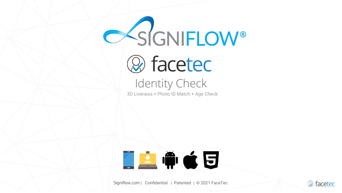

3D Liveness + Photo ID Match + Age Check



Signiflow.com | Confidential | Patented | © 2021 FaceTec

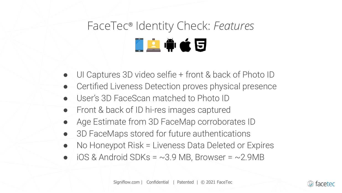# FaceTec® Identity Check: *Features* 「空中さら

- UI Captures 3D video selfie + front & back of Photo ID
- Certified Liveness Detection proves physical presence
- User's 3D FaceScan matched to Photo ID
- Front & back of ID hi-res images captured
- Age Estimate from 3D FaceMap corroborates ID
- 3D FaceMaps stored for future authentications
- No Honeypot Risk = Liveness Data Deleted or Expires
- $iOS$  & Android SDKs = ~3.9 MB, Browser = ~2.9MB

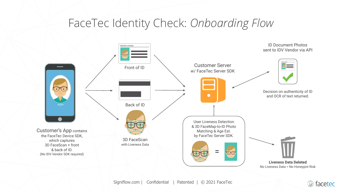#### FaceTec Identity Check: *Onboarding Flow*



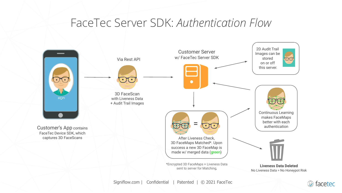#### FaceTec Server SDK: *Authentication Flow*



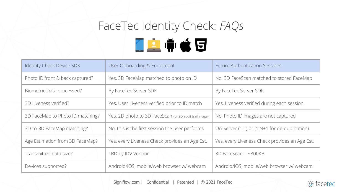## FaceTec Identity Check: *FAQs* ■空中さ日

| <b>Identity Check Device SDK</b> | User Onboarding & Enrollment                           | <b>Future Authentication Sessions</b>          |
|----------------------------------|--------------------------------------------------------|------------------------------------------------|
| Photo ID front & back captured?  | Yes, 3D FaceMap matched to photo on ID                 | No, 3D FaceScan matched to stored FaceMap      |
| Biometric Data processed?        | By FaceTec Server SDK                                  | By FaceTec Server SDK                          |
| 3D Liveness verified?            | Yes, User Liveness verified prior to ID match          | Yes, Liveness verified during each session     |
| 3D FaceMap to Photo ID matching? | Yes, 2D photo to 3D FaceScan (or 2D audit trail image) | No, Photo ID images are not captured           |
| 3D-to-3D FaceMap matching?       | No, this is the first session the user performs        | On-Server (1:1) or (1:N+1 for de-duplication)  |
| Age Estimation from 3D FaceMap?  | Yes, every Liveness Check provides an Age Est.         | Yes, every Liveness Check provides an Age Est. |
| Transmitted data size?           | TBD by IDV Vendor                                      | $3D$ FaceScan = $\sim$ 300KB                   |
| Devices supported?               | Android/iOS, mobile/web browser w/ webcam              | Android/iOS, mobile/web browser w/ webcam      |

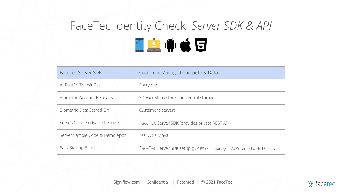### FaceTec Identity Check: *Server SDK & API* LATCU

| FaceTec Server SDK                | Customer Managed Compute & Data                                           |
|-----------------------------------|---------------------------------------------------------------------------|
| At Rest/In Transit Data           | Encrypted                                                                 |
| <b>Biometric Account Recovery</b> | 3D FaceMaps stored on central storage                                     |
| Biometric Data Stored On          | Customer's servers                                                        |
| Server/Cloud Software Required    | FaceTec Server SDK (provides private REST API)                            |
| Server Sample Code & Demo Apps    | Yes, C/C++/Java                                                           |
| Easy Startup Effort               | FaceTec Server SDK setup guides (Self-managed, AWS Lambda, EB, EC2, etc.) |